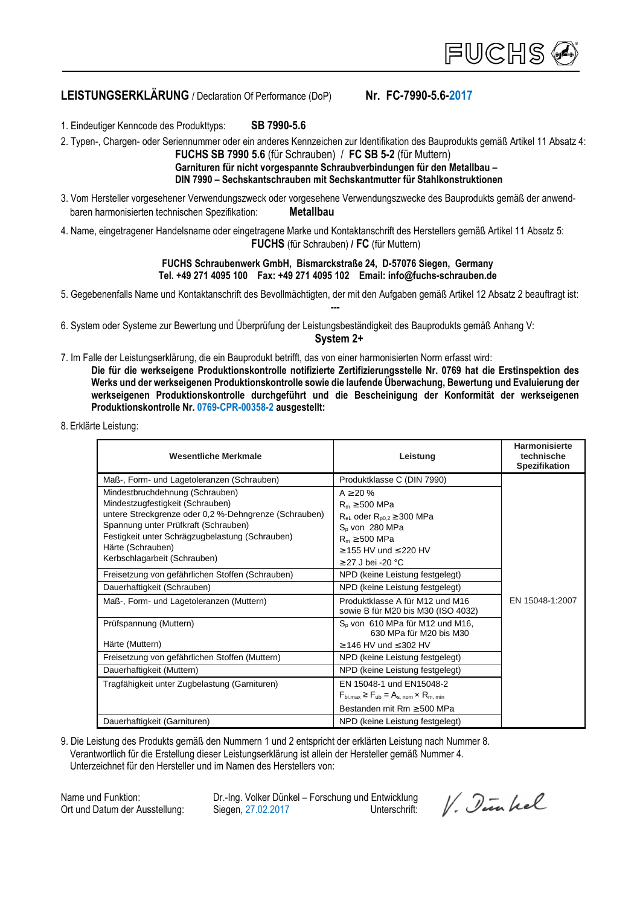# **LEISTUNGSERKLÄRUNG** / Declaration Of Performance (DoP) **Nr. FC-7990-5.6-2017**

1. Eindeutiger Kenncode des Produkttyps: **SB 7990-5.6**

2. Typen-, Chargen- oder Seriennummer oder ein anderes Kennzeichen zur Identifikation des Bauprodukts gemäß Artikel 11 Absatz 4:  **FUCHS SB 7990 5.6** (für Schrauben) / **FC SB 5-2** (für Muttern)

## **Garnituren für nicht vorgespannte Schraubverbindungen für den Metallbau – DIN 7990 – Sechskantschrauben mit Sechskantmutter für Stahlkonstruktionen**

- 3. Vom Hersteller vorgesehener Verwendungszweck oder vorgesehene Verwendungszwecke des Bauprodukts gemäß der anwendbaren harmonisierten technischen Spezifikation: **Metallbau**
- 4. Name, eingetragener Handelsname oder eingetragene Marke und Kontaktanschrift des Herstellers gemäß Artikel 11 Absatz 5:  **FUCHS** (für Schrauben) **/ FC** (für Muttern)

#### **FUCHS Schraubenwerk GmbH, Bismarckstraße 24, D-57076 Siegen, Germany Tel. +49 271 4095 100 Fax: +49 271 4095 102 Email: info@fuchs-schrauben.de**

5. Gegebenenfalls Name und Kontaktanschrift des Bevollmächtigten, der mit den Aufgaben gemäß Artikel 12 Absatz 2 beauftragt ist:

6. System oder Systeme zur Bewertung und Überprüfung der Leistungsbeständigkeit des Bauprodukts gemäß Anhang V:

**System 2+** 

**---** 

- 7. Im Falle der Leistungserklärung, die ein Bauprodukt betrifft, das von einer harmonisierten Norm erfasst wird: **Die für die werkseigene Produktionskontrolle notifizierte Zertifizierungsstelle Nr. 0769 hat die Erstinspektion des Werks und der werkseigenen Produktionskontrolle sowie die laufende Überwachung, Bewertung und Evaluierung der werkseigenen Produktionskontrolle durchgeführt und die Bescheinigung der Konformität der werkseigenen Produktionskontrolle Nr. 0769-CPR-00358-2 ausgestellt:**
- 8. Erklärte Leistung:

| Wesentliche Merkmale                                                                                                                                                                                                                                                         | Leistung                                                                                                                                                                           | <b>Harmonisierte</b><br>technische<br><b>Spezifikation</b> |
|------------------------------------------------------------------------------------------------------------------------------------------------------------------------------------------------------------------------------------------------------------------------------|------------------------------------------------------------------------------------------------------------------------------------------------------------------------------------|------------------------------------------------------------|
| Maß-, Form- und Lagetoleranzen (Schrauben)                                                                                                                                                                                                                                   | Produktklasse C (DIN 7990)                                                                                                                                                         |                                                            |
| Mindestbruchdehnung (Schrauben)<br>Mindestzugfestigkeit (Schrauben)<br>untere Streckgrenze oder 0,2 %-Dehngrenze (Schrauben)<br>Spannung unter Prüfkraft (Schrauben)<br>Festigkeit unter Schrägzugbelastung (Schrauben)<br>Härte (Schrauben)<br>Kerbschlagarbeit (Schrauben) | $A \ge 20 \%$<br>$R_m \geq 500$ MPa<br>$R_{el}$ oder $R_{p0.2} \ge 300$ MPa<br>$S0$ von 280 MPa<br>$R_m \geq 500$ MPa<br>$\geq$ 155 HV und $\leq$ 220 HV<br>$\geq$ 27 J bei -20 °C |                                                            |
| Freisetzung von gefährlichen Stoffen (Schrauben)                                                                                                                                                                                                                             | NPD (keine Leistung festgelegt)                                                                                                                                                    |                                                            |
| Dauerhaftigkeit (Schrauben)                                                                                                                                                                                                                                                  | NPD (keine Leistung festgelegt)                                                                                                                                                    |                                                            |
| Maß-, Form- und Lagetoleranzen (Muttern)                                                                                                                                                                                                                                     | Produktklasse A für M12 und M16<br>sowie B für M20 bis M30 (ISO 4032)                                                                                                              | EN 15048-1:2007                                            |
| Prüfspannung (Muttern)                                                                                                                                                                                                                                                       | $Sn$ von 610 MPa für M12 und M16,<br>630 MPa für M20 bis M30                                                                                                                       |                                                            |
| Härte (Muttern)                                                                                                                                                                                                                                                              | $\geq$ 146 HV und $\leq$ 302 HV                                                                                                                                                    |                                                            |
| Freisetzung von gefährlichen Stoffen (Muttern)                                                                                                                                                                                                                               | NPD (keine Leistung festgelegt)                                                                                                                                                    |                                                            |
| Dauerhaftigkeit (Muttern)                                                                                                                                                                                                                                                    | NPD (keine Leistung festgelegt)                                                                                                                                                    |                                                            |
| Tragfähigkeit unter Zugbelastung (Garnituren)                                                                                                                                                                                                                                | EN 15048-1 und EN15048-2<br>$F_{\text{bi.max}} \geq F_{\text{ub}} = A_{\text{s. nom}} \times R_{\text{m. min}}$<br>Bestanden mit Rm $\geq$ 500 MPa                                 |                                                            |
| Dauerhaftigkeit (Garnituren)                                                                                                                                                                                                                                                 | NPD (keine Leistung festgelegt)                                                                                                                                                    |                                                            |

9. Die Leistung des Produkts gemäß den Nummern 1 und 2 entspricht der erklärten Leistung nach Nummer 8. Verantwortlich für die Erstellung dieser Leistungserklärung ist allein der Hersteller gemäß Nummer 4. Unterzeichnet für den Hersteller und im Namen des Herstellers von:

Name und Funktion: Dr.-Ing. Volker Dünkel – Forschung und Entwicklung Ort und Datum der Ausstellung: Siegen, 27.02.2017 Unterschrift:

V. Dinkel